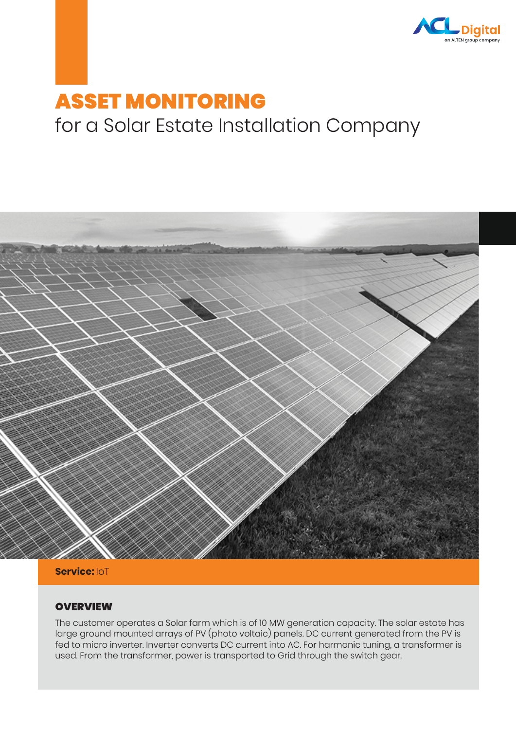

# ASSET MONITORING for a Solar Estate Installation Company



**Service:** IoT

#### **OVERVIEW**

The customer operates a Solar farm which is of 10 MW generation capacity. The solar estate has large ground mounted arrays of PV (photo voltaic) panels. DC current generated from the PV is fed to micro inverter. Inverter converts DC current into AC. For harmonic tuning, a transformer is used. From the transformer, power is transported to Grid through the switch gear.